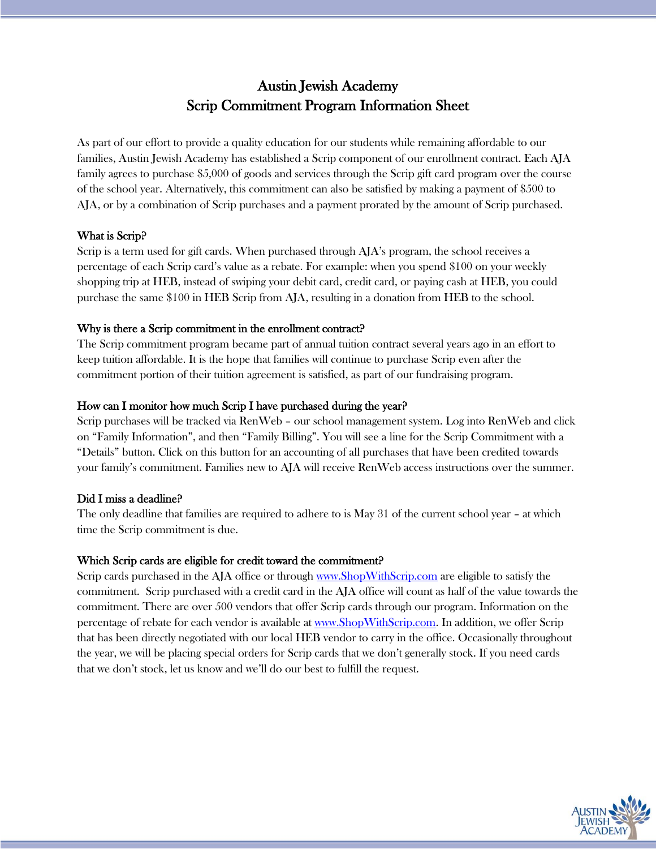# Austin Jewish Academy Scrip Commitment Program Information Sheet

As part of our effort to provide a quality education for our students while remaining affordable to our families, Austin Jewish Academy has established a Scrip component of our enrollment contract. Each AJA family agrees to purchase \$5,000 of goods and services through the Scrip gift card program over the course of the school year. Alternatively, this commitment can also be satisfied by making a payment of \$500 to AJA, or by a combination of Scrip purchases and a payment prorated by the amount of Scrip purchased.

## What is Scrip?

Scrip is a term used for gift cards. When purchased through AJA's program, the school receives a percentage of each Scrip card's value as a rebate. For example: when you spend \$100 on your weekly shopping trip at HEB, instead of swiping your debit card, credit card, or paying cash at HEB, you could purchase the same \$100 in HEB Scrip from AJA, resulting in a donation from HEB to the school.

# Why is there a Scrip commitment in the enrollment contract?

The Scrip commitment program became part of annual tuition contract several years ago in an effort to keep tuition affordable. It is the hope that families will continue to purchase Scrip even after the commitment portion of their tuition agreement is satisfied, as part of our fundraising program.

# How can I monitor how much Scrip I have purchased during the year?

Scrip purchases will be tracked via RenWeb – our school management system. Log into RenWeb and click on "Family Information", and then "Family Billing". You will see a line for the Scrip Commitment with a "Details" button. Click on this button for an accounting of all purchases that have been credited towards your family's commitment. Families new to AJA will receive RenWeb access instructions over the summer.

# Did I miss a deadline?

The only deadline that families are required to adhere to is May 31 of the current school year – at which time the Scrip commitment is due.

## Which Scrip cards are eligible for credit toward the commitment?

Scrip cards purchased in the AJA office or through [www.ShopWithScrip.com](http://www.shopwithscrip.com/) are eligible to satisfy the commitment. Scrip purchased with a credit card in the AJA office will count as half of the value towards the commitment. There are over 500 vendors that offer Scrip cards through our program. Information on the percentage of rebate for each vendor is available at [www.ShopWithScrip.com.](http://www.shopwithscrip.com/) In addition, we offer Scrip that has been directly negotiated with our local HEB vendor to carry in the office. Occasionally throughout the year, we will be placing special orders for Scrip cards that we don't generally stock. If you need cards that we don't stock, let us know and we'll do our best to fulfill the request.